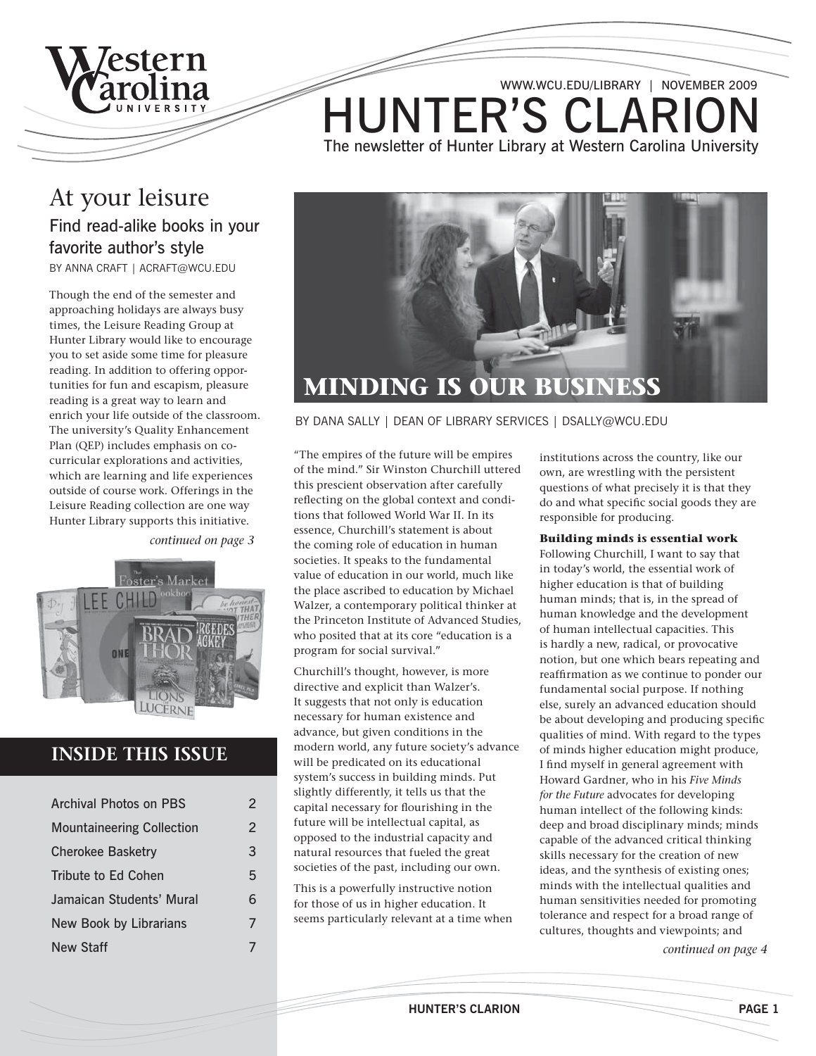

**HUNTER'S CLARIO** The newsletter of Hunter Library at Western Carolina University www.wcu.edu/library | November 2009

### At your leisure Find read-alike books in your favorite author's style

By Anna Craft | acraft@wcu.edu

Though the end of the semester and approaching holidays are always busy times, the Leisure Reading Group at Hunter Library would like to encourage you to set aside some time for pleasure reading. In addition to offering opportunities for fun and escapism, pleasure reading is a great way to learn and enrich your life outside of the classroom. The university's Quality Enhancement Plan (QEP) includes emphasis on cocurricular explorations and activities, which are learning and life experiences outside of course work. Offerings in the Leisure Reading collection are one way Hunter Library supports this initiative.

*continued on page 3*



### **INSIDE THIS ISSUE**

| <b>Archival Photos on PBS</b>    | $\mathcal{P}$ |
|----------------------------------|---------------|
| <b>Mountaineering Collection</b> | 2             |
| <b>Cherokee Basketry</b>         | 3             |
| Tribute to Ed Cohen              | 5             |
| Jamaican Students' Mural         | 6             |
| New Book by Librarians           | 7             |
| New Staff                        |               |



#### By Dana Sally | Dean of Library Services | dsally@wcu.edu

"The empires of the future will be empires of the mind." Sir Winston Churchill uttered this prescient observation after carefully reflecting on the global context and conditions that followed World War II. In its essence, Churchill's statement is about the coming role of education in human societies. It speaks to the fundamental value of education in our world, much like the place ascribed to education by Michael Walzer, a contemporary political thinker at the Princeton Institute of Advanced Studies, who posited that at its core "education is a program for social survival."

Churchill's thought, however, is more directive and explicit than Walzer's. It suggests that not only is education necessary for human existence and advance, but given conditions in the modern world, any future society's advance will be predicated on its educational system's success in building minds. Put slightly differently, it tells us that the capital necessary for flourishing in the future will be intellectual capital, as opposed to the industrial capacity and natural resources that fueled the great societies of the past, including our own.

This is a powerfully instructive notion for those of us in higher education. It seems particularly relevant at a time when institutions across the country, like our own, are wrestling with the persistent questions of what precisely it is that they do and what specific social goods they are responsible for producing.

#### **Building minds is essential work**

Following Churchill, I want to say that in today's world, the essential work of higher education is that of building human minds; that is, in the spread of human knowledge and the development of human intellectual capacities. This is hardly a new, radical, or provocative notion, but one which bears repeating and reaffirmation as we continue to ponder our fundamental social purpose. If nothing else, surely an advanced education should be about developing and producing specific qualities of mind. With regard to the types of minds higher education might produce, I find myself in general agreement with Howard Gardner, who in his *Five Minds for the Future* advocates for developing human intellect of the following kinds: deep and broad disciplinary minds; minds capable of the advanced critical thinking skills necessary for the creation of new ideas, and the synthesis of existing ones; minds with the intellectual qualities and human sensitivities needed for promoting tolerance and respect for a broad range of cultures, thoughts and viewpoints; and

*continued on page 4*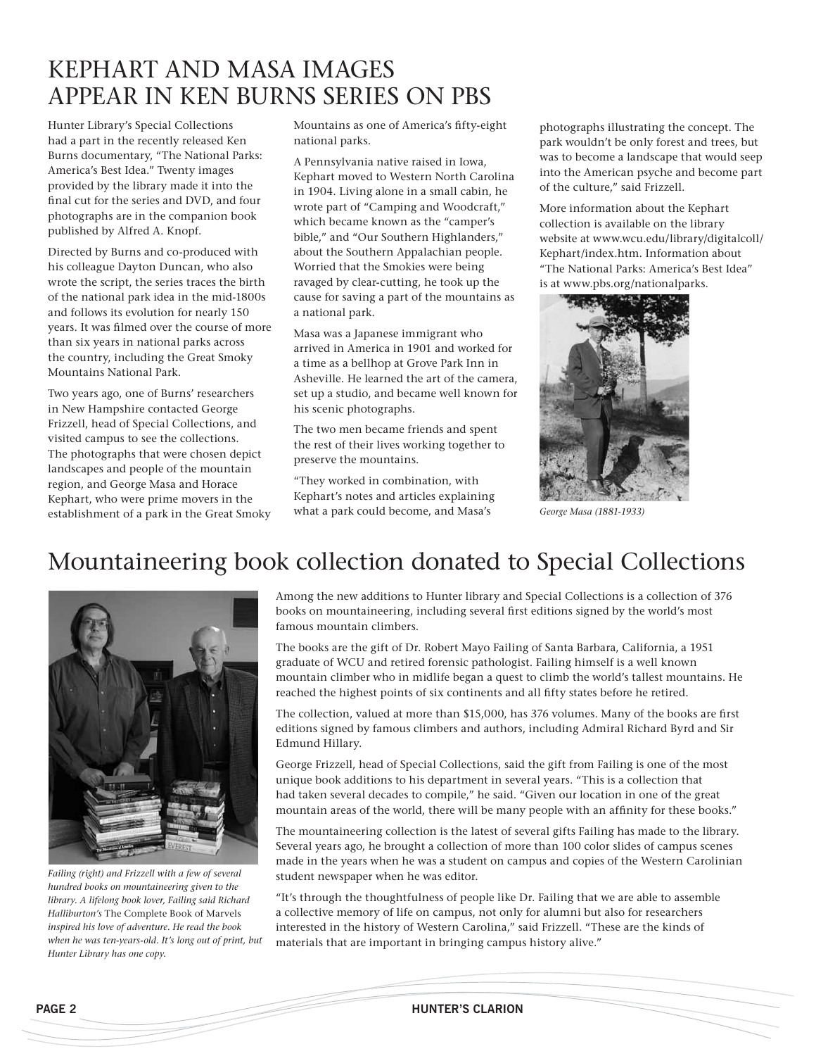# Kephart and Masa images appear in Ken Burns series on pbs

Hunter Library's Special Collections had a part in the recently released Ken Burns documentary, "The National Parks: America's Best Idea." Twenty images provided by the library made it into the final cut for the series and DVD, and four photographs are in the companion book published by Alfred A. Knopf.

Directed by Burns and co-produced with his colleague Dayton Duncan, who also wrote the script, the series traces the birth of the national park idea in the mid-1800s and follows its evolution for nearly 150 years. It was filmed over the course of more than six years in national parks across the country, including the Great Smoky Mountains National Park.

Two years ago, one of Burns' researchers in New Hampshire contacted George Frizzell, head of Special Collections, and visited campus to see the collections. The photographs that were chosen depict landscapes and people of the mountain region, and George Masa and Horace Kephart, who were prime movers in the establishment of a park in the Great Smoky Mountains as one of America's fifty-eight national parks.

A Pennsylvania native raised in Iowa, Kephart moved to Western North Carolina in 1904. Living alone in a small cabin, he wrote part of "Camping and Woodcraft," which became known as the "camper's bible," and "Our Southern Highlanders," about the Southern Appalachian people. Worried that the Smokies were being ravaged by clear-cutting, he took up the cause for saving a part of the mountains as a national park.

Masa was a Japanese immigrant who arrived in America in 1901 and worked for a time as a bellhop at Grove Park Inn in Asheville. He learned the art of the camera, set up a studio, and became well known for his scenic photographs.

The two men became friends and spent the rest of their lives working together to preserve the mountains.

"They worked in combination, with Kephart's notes and articles explaining what a park could become, and Masa's

photographs illustrating the concept. The park wouldn't be only forest and trees, but was to become a landscape that would seep into the American psyche and become part of the culture," said Frizzell.

More information about the Kephart collection is available on the library website at www.wcu.edu/library/digitalcoll/ Kephart/index.htm. Information about "The National Parks: America's Best Idea" is at www.pbs.org/nationalparks.



*George Masa (1881-1933)*

## Mountaineering book collection donated to Special Collections



*Failing (right) and Frizzell with a few of several hundred books on mountaineering given to the library. A lifelong book lover, Failing said Richard Halliburton's* The Complete Book of Marvels *inspired his love of adventure. He read the book when he was ten-years-old. It's long out of print, but Hunter Library has one copy.*

Among the new additions to Hunter library and Special Collections is a collection of 376 books on mountaineering, including several first editions signed by the world's most famous mountain climbers.

The books are the gift of Dr. Robert Mayo Failing of Santa Barbara, California, a 1951 graduate of WCU and retired forensic pathologist. Failing himself is a well known mountain climber who in midlife began a quest to climb the world's tallest mountains. He reached the highest points of six continents and all fifty states before he retired.

The collection, valued at more than \$15,000, has 376 volumes. Many of the books are first editions signed by famous climbers and authors, including Admiral Richard Byrd and Sir Edmund Hillary.

George Frizzell, head of Special Collections, said the gift from Failing is one of the most unique book additions to his department in several years. "This is a collection that had taken several decades to compile," he said. "Given our location in one of the great mountain areas of the world, there will be many people with an affinity for these books."

The mountaineering collection is the latest of several gifts Failing has made to the library. Several years ago, he brought a collection of more than 100 color slides of campus scenes made in the years when he was a student on campus and copies of the Western Carolinian student newspaper when he was editor.

"It's through the thoughtfulness of people like Dr. Failing that we are able to assemble a collective memory of life on campus, not only for alumni but also for researchers interested in the history of Western Carolina," said Frizzell. "These are the kinds of materials that are important in bringing campus history alive."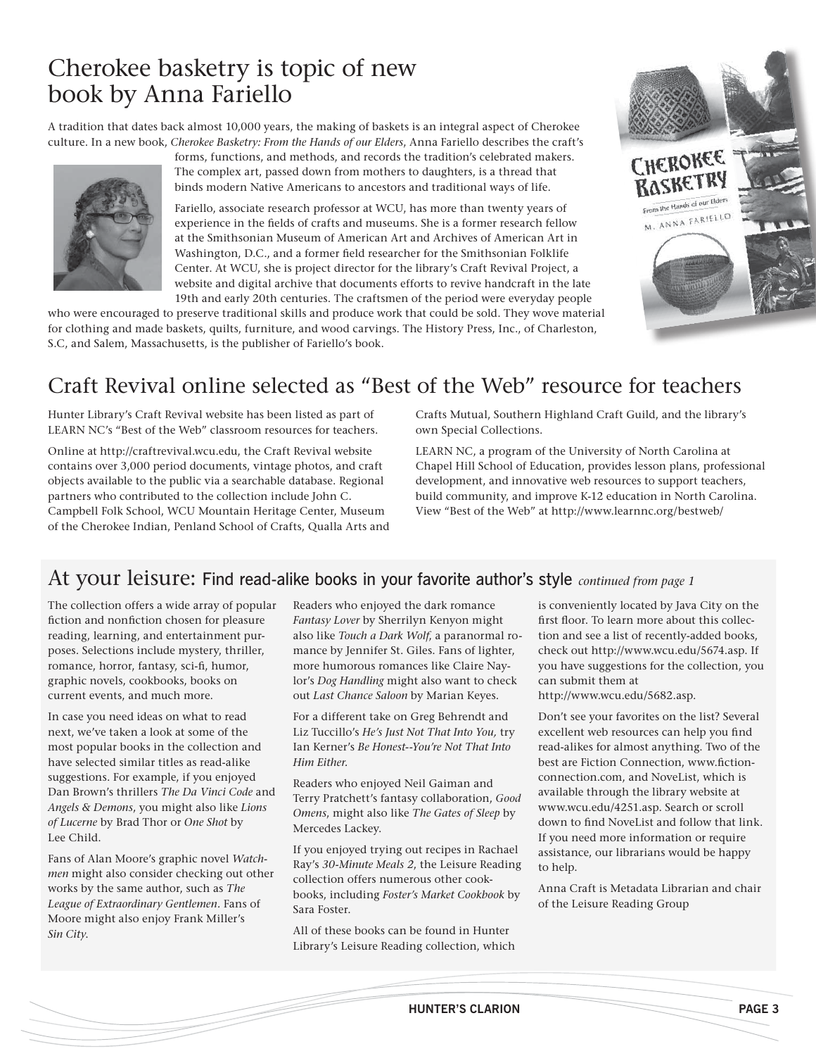# Cherokee basketry is topic of new book by Anna Fariello

A tradition that dates back almost 10,000 years, the making of baskets is an integral aspect of Cherokee culture. In a new book, *Cherokee Basketry: From the Hands of our Elders*, Anna Fariello describes the craft's



forms, functions, and methods, and records the tradition's celebrated makers. The complex art, passed down from mothers to daughters, is a thread that binds modern Native Americans to ancestors and traditional ways of life.

Fariello, associate research professor at WCU, has more than twenty years of experience in the fields of crafts and museums. She is a former research fellow at the Smithsonian Museum of American Art and Archives of American Art in Washington, D.C., and a former field researcher for the Smithsonian Folklife Center. At WCU, she is project director for the library's Craft Revival Project, a website and digital archive that documents efforts to revive handcraft in the late 19th and early 20th centuries. The craftsmen of the period were everyday people

who were encouraged to preserve traditional skills and produce work that could be sold. They wove material for clothing and made baskets, quilts, furniture, and wood carvings. The History Press, Inc., of Charleston, S.C, and Salem, Massachusetts, is the publisher of Fariello's book.



Hunter Library's Craft Revival website has been listed as part of LEARN NC's "Best of the Web" classroom resources for teachers.

Online at http://craftrevival.wcu.edu, the Craft Revival website contains over 3,000 period documents, vintage photos, and craft objects available to the public via a searchable database. Regional partners who contributed to the collection include John C. Campbell Folk School, WCU Mountain Heritage Center, Museum of the Cherokee Indian, Penland School of Crafts, Qualla Arts and Crafts Mutual, Southern Highland Craft Guild, and the library's own Special Collections.

LEARN NC, a program of the University of North Carolina at Chapel Hill School of Education, provides lesson plans, professional development, and innovative web resources to support teachers, build community, and improve K-12 education in North Carolina. View "Best of the Web" at http://www.learnnc.org/bestweb/

### At your leisure: Find read-alike books in your favorite author's style *continued from page 1*

The collection offers a wide array of popular fiction and nonfiction chosen for pleasure reading, learning, and entertainment purposes. Selections include mystery, thriller, romance, horror, fantasy, sci-fi, humor, graphic novels, cookbooks, books on current events, and much more.

In case you need ideas on what to read next, we've taken a look at some of the most popular books in the collection and have selected similar titles as read-alike suggestions. For example, if you enjoyed Dan Brown's thrillers *The Da Vinci Code* and *Angels & Demons*, you might also like *Lions of Lucerne* by Brad Thor or *One Shot* by Lee Child.

Fans of Alan Moore's graphic novel *Watchmen* might also consider checking out other works by the same author, such as *The League of Extraordinary Gentlemen.* Fans of Moore might also enjoy Frank Miller's *Sin City*.

Readers who enjoyed the dark romance *Fantasy Lover* by Sherrilyn Kenyon might also like *Touch a Dark Wolf*, a paranormal romance by Jennifer St. Giles. Fans of lighter, more humorous romances like Claire Naylor's *Dog Handling* might also want to check out *Last Chance Saloon* by Marian Keyes.

For a different take on Greg Behrendt and Liz Tuccillo's *He's Just Not That Into You,* try Ian Kerner's *Be Honest--You're Not That Into Him Either.*

Readers who enjoyed Neil Gaiman and Terry Pratchett's fantasy collaboration, *Good Omens*, might also like *The Gates of Sleep* by Mercedes Lackey.

If you enjoyed trying out recipes in Rachael Ray's *30-Minute Meals 2*, the Leisure Reading collection offers numerous other cookbooks, including *Foster's Market Cookbook* by Sara Foster.

All of these books can be found in Hunter Library's Leisure Reading collection, which is conveniently located by Java City on the first floor. To learn more about this collection and see a list of recently-added books, check out http://www.wcu.edu/5674.asp. If you have suggestions for the collection, you can submit them at

CHEROKEE T RASKETRY From the Hands of our Elders M. ANNA FARIELLO

http://www.wcu.edu/5682.asp.

Don't see your favorites on the list? Several excellent web resources can help you find read-alikes for almost anything. Two of the best are Fiction Connection, www.fictionconnection.com, and NoveList, which is available through the library website at www.wcu.edu/4251.asp. Search or scroll down to find NoveList and follow that link. If you need more information or require assistance, our librarians would be happy to help.

Anna Craft is Metadata Librarian and chair of the Leisure Reading Group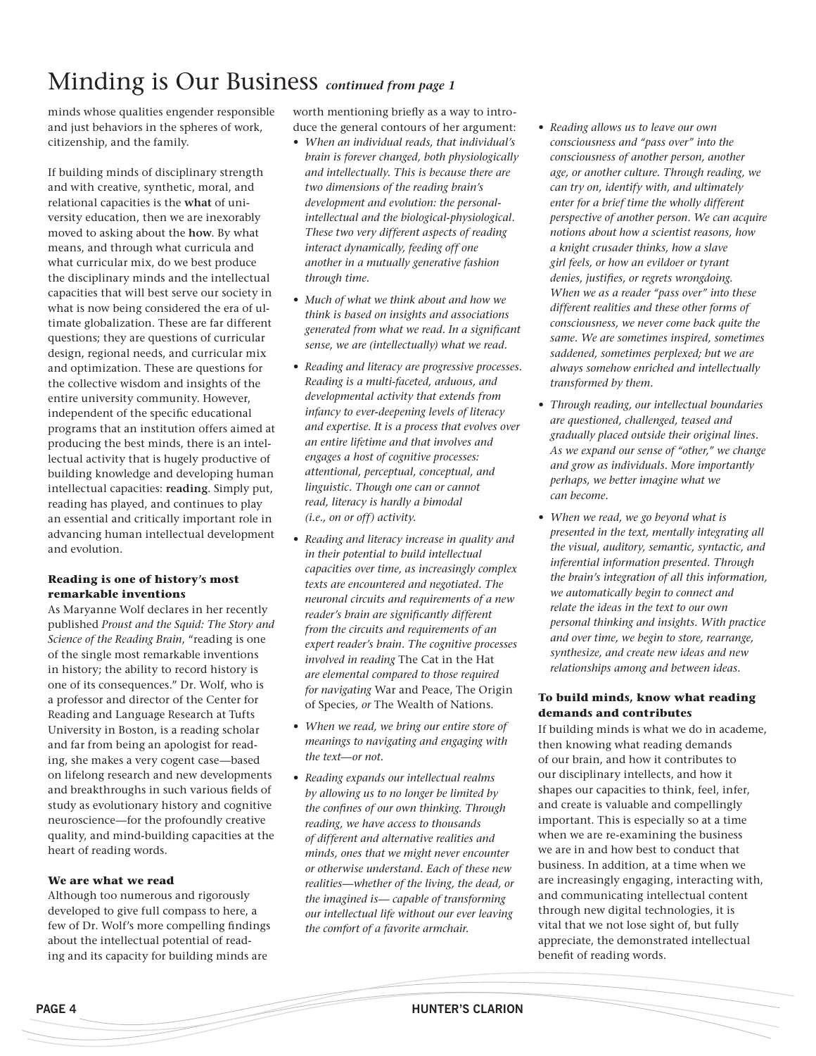# Minding is Our Business *continued from page 1*

minds whose qualities engender responsible and just behaviors in the spheres of work, citizenship, and the family.

If building minds of disciplinary strength and with creative, synthetic, moral, and relational capacities is the **what** of university education, then we are inexorably moved to asking about the **how**. By what means, and through what curricula and what curricular mix, do we best produce the disciplinary minds and the intellectual capacities that will best serve our society in what is now being considered the era of ultimate globalization. These are far different questions; they are questions of curricular design, regional needs, and curricular mix and optimization. These are questions for the collective wisdom and insights of the entire university community. However, independent of the specific educational programs that an institution offers aimed at producing the best minds, there is an intellectual activity that is hugely productive of building knowledge and developing human intellectual capacities: **reading**. Simply put, reading has played, and continues to play an essential and critically important role in advancing human intellectual development and evolution.

#### **Reading is one of history's most remarkable inventions**

As Maryanne Wolf declares in her recently published *Proust and the Squid: The Story and Science of the Reading Brain*, "reading is one of the single most remarkable inventions in history; the ability to record history is one of its consequences." Dr. Wolf, who is a professor and director of the Center for Reading and Language Research at Tufts University in Boston, is a reading scholar and far from being an apologist for reading, she makes a very cogent case—based on lifelong research and new developments and breakthroughs in such various fields of study as evolutionary history and cognitive neuroscience—for the profoundly creative quality, and mind-building capacities at the heart of reading words.

#### **We are what we read**

Although too numerous and rigorously developed to give full compass to here, a few of Dr. Wolf's more compelling findings about the intellectual potential of reading and its capacity for building minds are

worth mentioning briefly as a way to introduce the general contours of her argument:

- *• When an individual reads, that individual's brain is forever changed, both physiologically and intellectually. This is because there are two dimensions of the reading brain's development and evolution: the personalintellectual and the biological-physiological. These two very different aspects of reading interact dynamically, feeding off one another in a mutually generative fashion through time.*
- *• Much of what we think about and how we think is based on insights and associations generated from what we read. In a significant sense, we are (intellectually) what we read.*
- *• Reading and literacy are progressive processes. Reading is a multi-faceted, arduous, and developmental activity that extends from infancy to ever-deepening levels of literacy and expertise. It is a process that evolves over an entire lifetime and that involves and engages a host of cognitive processes: attentional, perceptual, conceptual, and linguistic. Though one can or cannot read, literacy is hardly a bimodal (i.e., on or off) activity.*
- *• Reading and literacy increase in quality and in their potential to build intellectual capacities over time, as increasingly complex texts are encountered and negotiated. The neuronal circuits and requirements of a new reader's brain are significantly different from the circuits and requirements of an expert reader's brain. The cognitive processes involved in reading* The Cat in the Hat *are elemental compared to those required for navigating* War and Peace, The Origin of Species*, or* The Wealth of Nations.
- *• When we read, we bring our entire store of meanings to navigating and engaging with the text—or not.*
- *• Reading expands our intellectual realms by allowing us to no longer be limited by the confines of our own thinking. Through reading, we have access to thousands of different and alternative realities and minds, ones that we might never encounter or otherwise understand. Each of these new realities—whether of the living, the dead, or the imagined is— capable of transforming our intellectual life without our ever leaving the comfort of a favorite armchair.*
- *• Reading allows us to leave our own consciousness and "pass over" into the consciousness of another person, another age, or another culture. Through reading, we can try on, identify with, and ultimately enter for a brief time the wholly different perspective of another person. We can acquire notions about how a scientist reasons, how a knight crusader thinks, how a slave girl feels, or how an evildoer or tyrant denies, justifies, or regrets wrongdoing. When we as a reader "pass over" into these different realities and these other forms of consciousness, we never come back quite the same. We are sometimes inspired, sometimes saddened, sometimes perplexed; but we are always somehow enriched and intellectually transformed by them.*
- *• Through reading, our intellectual boundaries are questioned, challenged, teased and gradually placed outside their original lines. As we expand our sense of "other," we change and grow as individuals. More importantly perhaps, we better imagine what we can become.*
- *• When we read, we go beyond what is presented in the text, mentally integrating all the visual, auditory, semantic, syntactic, and inferential information presented. Through the brain's integration of all this information, we automatically begin to connect and relate the ideas in the text to our own personal thinking and insights. With practice and over time, we begin to store, rearrange, synthesize, and create new ideas and new relationships among and between ideas.*

#### **To build minds, know what reading demands and contributes**

If building minds is what we do in academe, then knowing what reading demands of our brain, and how it contributes to our disciplinary intellects, and how it shapes our capacities to think, feel, infer, and create is valuable and compellingly important. This is especially so at a time when we are re-examining the business we are in and how best to conduct that business. In addition, at a time when we are increasingly engaging, interacting with, and communicating intellectual content through new digital technologies, it is vital that we not lose sight of, but fully appreciate, the demonstrated intellectual benefit of reading words.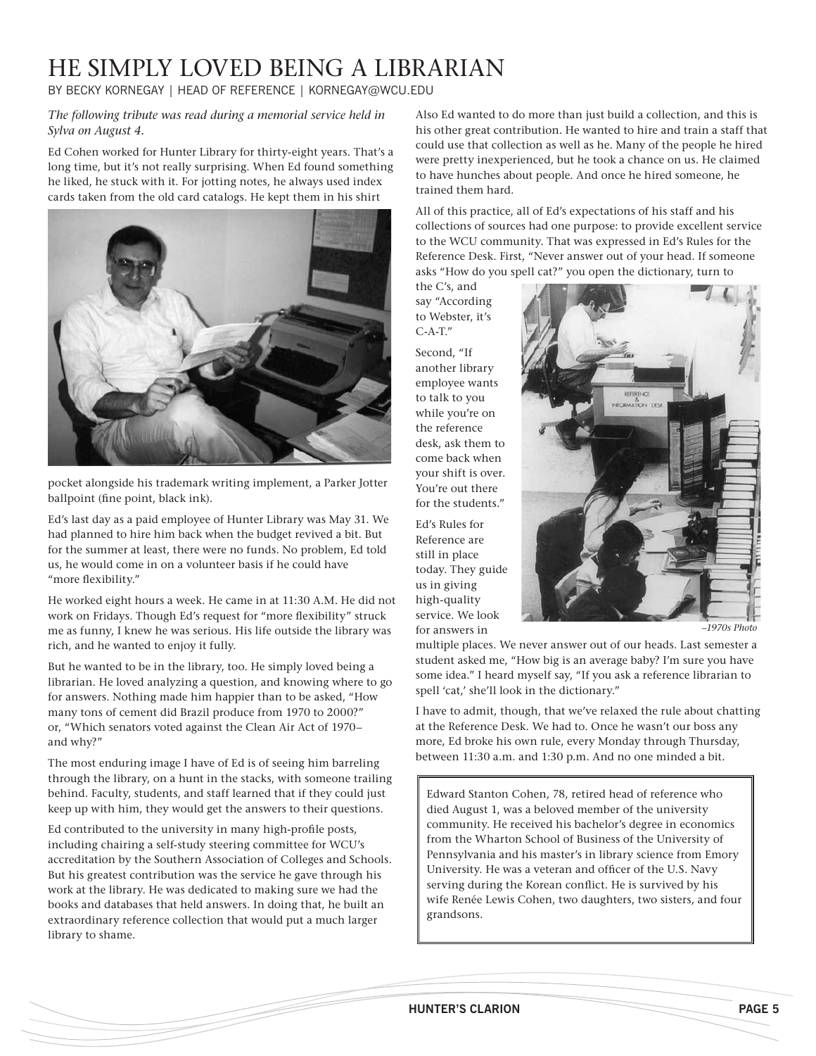# He simply loved being a librarian

By Becky Kornegay | Head of Reference | Kornegay@wcu.edu

*The following tribute was read during a memorial service held in Sylva on August 4.*

Ed Cohen worked for Hunter Library for thirty-eight years. That's a long time, but it's not really surprising. When Ed found something he liked, he stuck with it. For jotting notes, he always used index cards taken from the old card catalogs. He kept them in his shirt



pocket alongside his trademark writing implement, a Parker Jotter ballpoint (fine point, black ink).

Ed's last day as a paid employee of Hunter Library was May 31. We had planned to hire him back when the budget revived a bit. But for the summer at least, there were no funds. No problem, Ed told us, he would come in on a volunteer basis if he could have "more flexibility."

He worked eight hours a week. He came in at 11:30 A.M. He did not work on Fridays. Though Ed's request for "more flexibility" struck me as funny, I knew he was serious. His life outside the library was rich, and he wanted to enjoy it fully.

But he wanted to be in the library, too. He simply loved being a librarian. He loved analyzing a question, and knowing where to go for answers. Nothing made him happier than to be asked, "How many tons of cement did Brazil produce from 1970 to 2000?" or, "Which senators voted against the Clean Air Act of 1970– and why?"

The most enduring image I have of Ed is of seeing him barreling through the library, on a hunt in the stacks, with someone trailing behind. Faculty, students, and staff learned that if they could just keep up with him, they would get the answers to their questions.

Ed contributed to the university in many high-profile posts, including chairing a self-study steering committee for WCU's accreditation by the Southern Association of Colleges and Schools. But his greatest contribution was the service he gave through his work at the library. He was dedicated to making sure we had the books and databases that held answers. In doing that, he built an extraordinary reference collection that would put a much larger library to shame.

Also Ed wanted to do more than just build a collection, and this is his other great contribution. He wanted to hire and train a staff that could use that collection as well as he. Many of the people he hired were pretty inexperienced, but he took a chance on us. He claimed to have hunches about people. And once he hired someone, he trained them hard.

All of this practice, all of Ed's expectations of his staff and his collections of sources had one purpose: to provide excellent service to the WCU community. That was expressed in Ed's Rules for the Reference Desk. First, "Never answer out of your head. If someone asks "How do you spell cat?" you open the dictionary, turn to

the C's, and say "According to Webster, it's C-A-T."

Second, "If another library employee wants to talk to you while you're on the reference desk, ask them to come back when your shift is over. You're out there for the students."

Ed's Rules for Reference are still in place today. They guide us in giving high-quality service. We look for answers in



*–1970s Photo*

multiple places. We never answer out of our heads. Last semester a student asked me, "How big is an average baby? I'm sure you have some idea." I heard myself say, "If you ask a reference librarian to spell 'cat,' she'll look in the dictionary."

I have to admit, though, that we've relaxed the rule about chatting at the Reference Desk. We had to. Once he wasn't our boss any more, Ed broke his own rule, every Monday through Thursday, between 11:30 a.m. and 1:30 p.m. And no one minded a bit.

Edward Stanton Cohen, 78, retired head of reference who died August 1, was a beloved member of the university community. He received his bachelor's degree in economics from the Wharton School of Business of the University of Pennsylvania and his master's in library science from Emory University. He was a veteran and officer of the U.S. Navy serving during the Korean conflict. He is survived by his wife Renée Lewis Cohen, two daughters, two sisters, and four grandsons.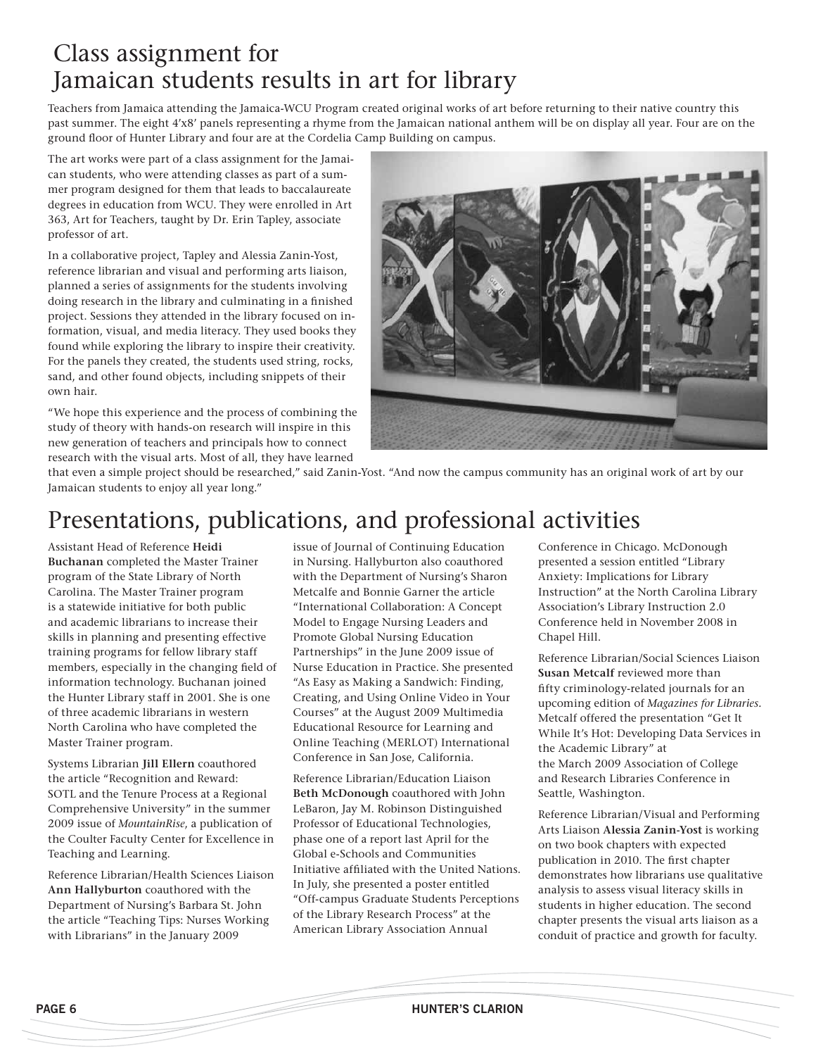## Class assignment for Jamaican students results in art for library

Teachers from Jamaica attending the Jamaica-WCU Program created original works of art before returning to their native country this past summer. The eight 4'x8' panels representing a rhyme from the Jamaican national anthem will be on display all year. Four are on the ground floor of Hunter Library and four are at the Cordelia Camp Building on campus.

The art works were part of a class assignment for the Jamaican students, who were attending classes as part of a summer program designed for them that leads to baccalaureate degrees in education from WCU. They were enrolled in Art 363, Art for Teachers, taught by Dr. Erin Tapley, associate professor of art.

In a collaborative project, Tapley and Alessia Zanin-Yost, reference librarian and visual and performing arts liaison, planned a series of assignments for the students involving doing research in the library and culminating in a finished project. Sessions they attended in the library focused on information, visual, and media literacy. They used books they found while exploring the library to inspire their creativity. For the panels they created, the students used string, rocks, sand, and other found objects, including snippets of their own hair.

"We hope this experience and the process of combining the study of theory with hands-on research will inspire in this new generation of teachers and principals how to connect research with the visual arts. Most of all, they have learned



that even a simple project should be researched," said Zanin-Yost. "And now the campus community has an original work of art by our Jamaican students to enjoy all year long."

## Presentations, publications, and professional activities

Assistant Head of Reference **Heidi Buchanan** completed the Master Trainer program of the State Library of North Carolina. The Master Trainer program is a statewide initiative for both public and academic librarians to increase their skills in planning and presenting effective training programs for fellow library staff members, especially in the changing field of information technology. Buchanan joined the Hunter Library staff in 2001. She is one of three academic librarians in western North Carolina who have completed the Master Trainer program.

Systems Librarian **Jill Ellern** coauthored the article "Recognition and Reward: SOTL and the Tenure Process at a Regional Comprehensive University" in the summer 2009 issue of *MountainRise*, a publication of the Coulter Faculty Center for Excellence in Teaching and Learning.

Reference Librarian/Health Sciences Liaison **Ann Hallyburton** coauthored with the Department of Nursing's Barbara St. John the article "Teaching Tips: Nurses Working with Librarians" in the January 2009

issue of Journal of Continuing Education in Nursing. Hallyburton also coauthored with the Department of Nursing's Sharon Metcalfe and Bonnie Garner the article "International Collaboration: A Concept Model to Engage Nursing Leaders and Promote Global Nursing Education Partnerships" in the June 2009 issue of Nurse Education in Practice. She presented "As Easy as Making a Sandwich: Finding, Creating, and Using Online Video in Your Courses" at the August 2009 Multimedia Educational Resource for Learning and Online Teaching (MERLOT) International Conference in San Jose, California.

Reference Librarian/Education Liaison **Beth McDonough** coauthored with John LeBaron, Jay M. Robinson Distinguished Professor of Educational Technologies, phase one of a report last April for the Global e-Schools and Communities Initiative affiliated with the United Nations. In July, she presented a poster entitled "Off-campus Graduate Students Perceptions of the Library Research Process" at the American Library Association Annual

Conference in Chicago. McDonough presented a session entitled "Library Anxiety: Implications for Library Instruction" at the North Carolina Library Association's Library Instruction 2.0 Conference held in November 2008 in Chapel Hill.

Reference Librarian/Social Sciences Liaison **Susan Metcalf** reviewed more than fifty criminology-related journals for an upcoming edition of *Magazines for Libraries.*  Metcalf offered the presentation "Get It While It's Hot: Developing Data Services in the Academic Library" at the March 2009 Association of College and Research Libraries Conference in Seattle, Washington.

Reference Librarian/Visual and Performing Arts Liaison **Alessia Zanin-Yost** is working on two book chapters with expected publication in 2010. The first chapter demonstrates how librarians use qualitative analysis to assess visual literacy skills in students in higher education. The second chapter presents the visual arts liaison as a conduit of practice and growth for faculty.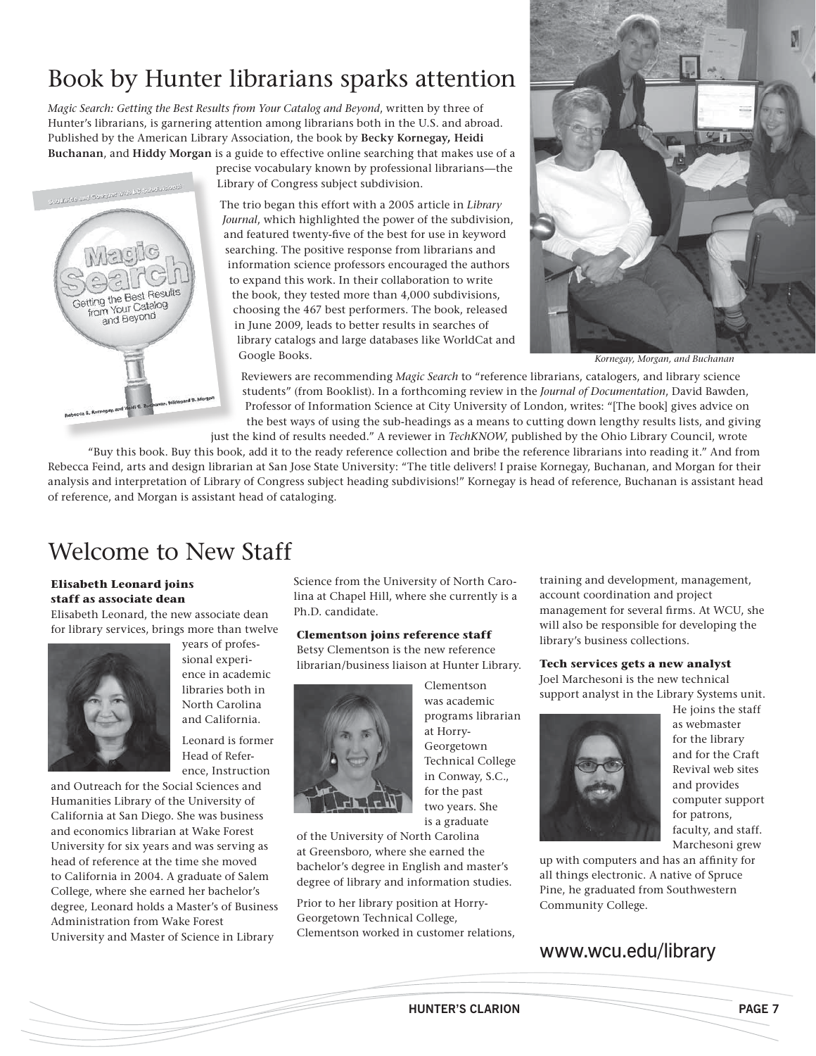# Book by Hunter librarians sparks attention

*Magic Search: Getting the Best Results from Your Catalog and Beyond*, written by three of Hunter's librarians, is garnering attention among librarians both in the U.S. and abroad. Published by the American Library Association, the book by **Becky Kornegay, Heidi Buchanan**, and **Hiddy Morgan** is a guide to effective online searching that makes use of a

precise vocabulary known by professional librarians—the Library of Congress subject subdivision.

The trio began this effort with a 2005 article in *Library Journal*, which highlighted the power of the subdivision, and featured twenty-five of the best for use in keyword searching. The positive response from librarians and information science professors encouraged the authors to expand this work. In their collaboration to write the book, they tested more than 4,000 subdivisions, choosing the 467 best performers. The book, released in June 2009, leads to better results in searches of library catalogs and large databases like WorldCat and Google Books.



*Kornegay, Morgan, and Buchanan*

Reviewers are recommending *Magic Search* to "reference librarians, catalogers, and library science students" (from Booklist). In a forthcoming review in the *Journal of Documentation*, David Bawden, Professor of Information Science at City University of London, writes: "[The book] gives advice on the best ways of using the sub-headings as a means to cutting down lengthy results lists, and giving just the kind of results needed." A reviewer in *TechKNOW*, published by the Ohio Library Council, wrote

"Buy this book. Buy this book, add it to the ready reference collection and bribe the reference librarians into reading it." And from Rebecca Feind, arts and design librarian at San Jose State University: "The title delivers! I praise Kornegay, Buchanan, and Morgan for their

analysis and interpretation of Library of Congress subject heading subdivisions!" Kornegay is head of reference, Buchanan is assistant head of reference, and Morgan is assistant head of cataloging.

## Welcome to New Staff

#### **Elisabeth Leonard joins staff as associate dean**

Getting the Best Results tting the Best Rose<br>from Your Catalog<br>Revond and Beyond

Elisabeth Leonard, the new associate dean for library services, brings more than twelve



years of professional experience in academic libraries both in North Carolina and California.

Leonard is former Head of Reference, Instruction

and Outreach for the Social Sciences and Humanities Library of the University of California at San Diego. She was business and economics librarian at Wake Forest University for six years and was serving as head of reference at the time she moved to California in 2004. A graduate of Salem College, where she earned her bachelor's degree, Leonard holds a Master's of Business Administration from Wake Forest University and Master of Science in Library

Science from the University of North Carolina at Chapel Hill, where she currently is a Ph.D. candidate.

#### **Clementson joins reference staff**

Betsy Clementson is the new reference librarian/business liaison at Hunter Library.



was academic programs librarian at Horry-Georgetown Technical College in Conway, S.C., for the past two years. She is a graduate

Clementson

of the University of North Carolina at Greensboro, where she earned the bachelor's degree in English and master's degree of library and information studies.

Prior to her library position at Horry-Georgetown Technical College, Clementson worked in customer relations,

training and development, management, account coordination and project management for several firms. At WCU, she will also be responsible for developing the library's business collections.

#### **Tech services gets a new analyst**

Joel Marchesoni is the new technical support analyst in the Library Systems unit.



He joins the staff as webmaster for the library and for the Craft Revival web sites and provides computer support for patrons, faculty, and staff. Marchesoni grew

up with computers and has an affinity for all things electronic. A native of Spruce Pine, he graduated from Southwestern Community College.

### www.wcu.edu/library